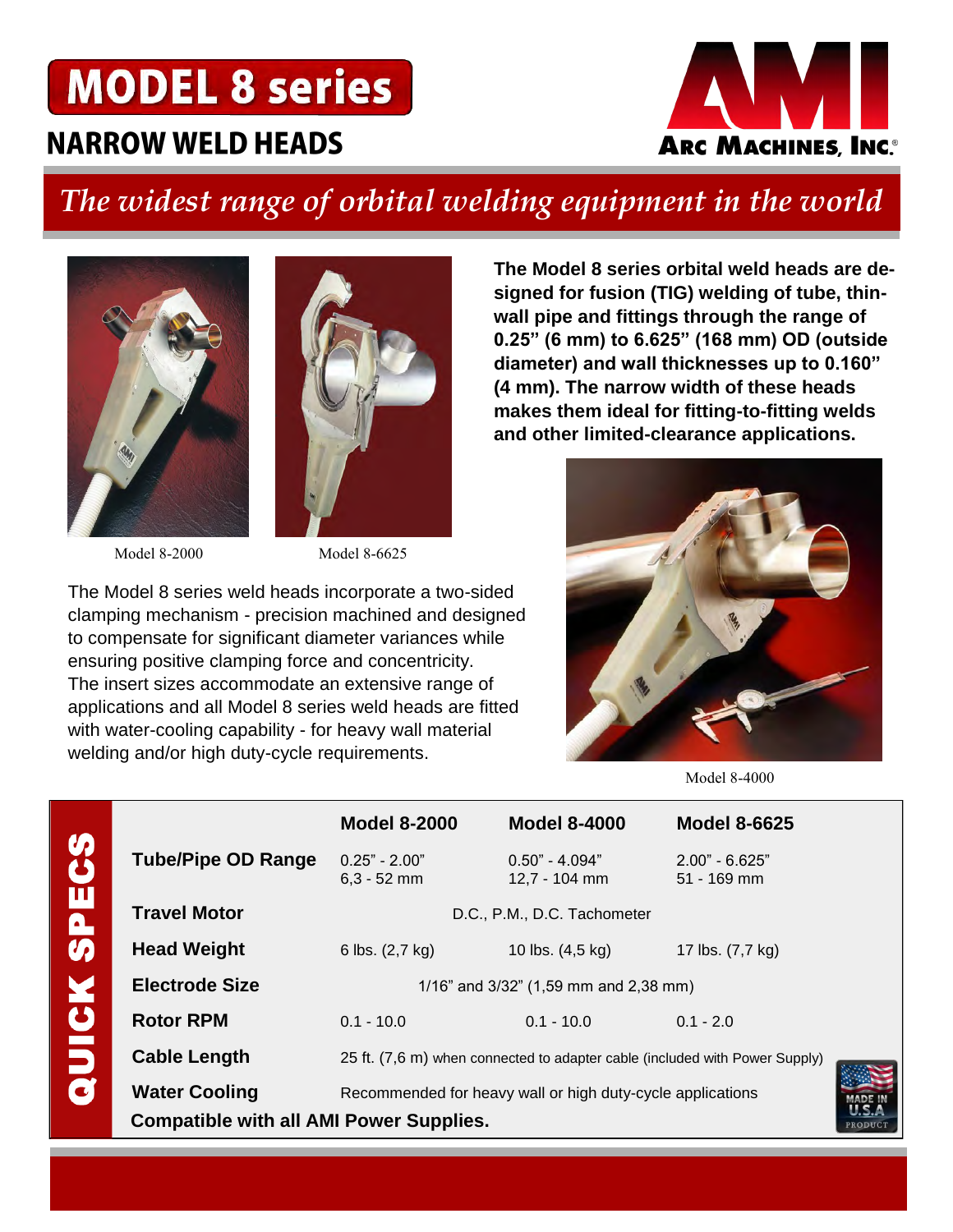# **MODEL 8 series**

## **NARROW WELD HEADS**



## *The widest range of orbital welding equipment in the world*





Model 8-2000 Model 8-6625

CHOCO NC 20

The Model 8 series weld heads incorporate a two-sided clamping mechanism - precision machined and designed to compensate for significant diameter variances while ensuring positive clamping force and concentricity. The insert sizes accommodate an extensive range of applications and all Model 8 series weld heads are fitted with water-cooling capability - for heavy wall material

welding and/or high duty-cycle requirements.

**signed for fusion (TIG) welding of tube, thinwall pipe and fittings through the range of 0.25" (6 mm) to 6.625" (168 mm) OD (outside diameter) and wall thicknesses up to 0.160" (4 mm). The narrow width of these heads makes them ideal for fitting-to-fitting welds and other limited-clearance applications.** 

**The Model 8 series orbital weld heads are de-**



Model 8-4000

|                     |                                                           | <b>Model 8-2000</b>                                                                                                                       | <b>Model 8-4000</b>               | <b>Model 8-6625</b>               |  |  |  |  |  |
|---------------------|-----------------------------------------------------------|-------------------------------------------------------------------------------------------------------------------------------------------|-----------------------------------|-----------------------------------|--|--|--|--|--|
| <b>P</b><br>5       | <b>Tube/Pipe OD Range</b>                                 | $0.25" - 2.00"$<br>$6,3 - 52$ mm                                                                                                          | $0.50" - 4.094"$<br>12,7 - 104 mm | $2.00" - 6.625"$<br>$51 - 169$ mm |  |  |  |  |  |
| Ч                   | <b>Travel Motor</b>                                       | D.C., P.M., D.C. Tachometer                                                                                                               |                                   |                                   |  |  |  |  |  |
| $\overline{\bm{p}}$ | <b>Head Weight</b>                                        | 6 lbs. (2,7 kg)                                                                                                                           | 10 lbs. (4,5 kg)                  | 17 lbs. (7,7 kg)                  |  |  |  |  |  |
| ₫                   | <b>Electrode Size</b>                                     | 1/16" and 3/32" (1,59 mm and 2,38 mm)                                                                                                     |                                   |                                   |  |  |  |  |  |
|                     | <b>Rotor RPM</b>                                          | $0.1 - 10.0$                                                                                                                              | $0.1 - 10.0$                      | $0.1 - 2.0$                       |  |  |  |  |  |
| C                   | <b>Cable Length</b>                                       | 25 ft. (7,6 m) when connected to adapter cable (included with Power Supply)<br>Recommended for heavy wall or high duty-cycle applications |                                   |                                   |  |  |  |  |  |
| J                   | <b>Water Cooling</b>                                      |                                                                                                                                           |                                   |                                   |  |  |  |  |  |
|                     | <b>Compatible with all AMI Power Supplies.</b><br>PRODUCT |                                                                                                                                           |                                   |                                   |  |  |  |  |  |